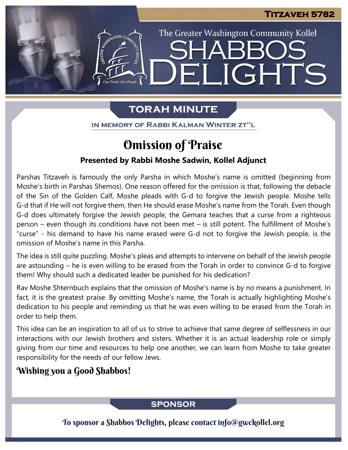The Greater Washington Community Kollel

ELIGHTS

# **TORAH MINUTE**

IN MEMORY OF RABBI KALMAN WINTER ZT"L

# Omission of Praise

## **Presented by Rabbi Moshe Sadwin, Kollel Adjunct**

Parshas Titzaveh is famously the only Parsha in which Moshe's name is omitted (beginning from Moshe's birth in Parshas Shemos). One reason offered for the omission is that, following the debacle of the Sin of the Golden Calf, Moshe pleads with G-d to forgive the Jewish people. Moshe tells G-d that if He will not forgive them, then He should erase Moshe's name from the Torah. Even though G-d does ultimately forgive the Jewish people, the Gemara teaches that a curse from a righteous person – even though its conditions have not been met – is still potent. The fulfillment of Moshe's "curse" - his demand to have his name erased were G-d not to forgive the Jewish people, is the omission of Moshe's name in this Parsha.

The idea is still quite puzzling. Moshe's pleas and attempts to intervene on behalf of the Jewish people are astounding – he is even willing to be erased from the Torah in order to convince G-d to forgive them! Why should such a dedicated leader be punished for his dedication?

Rav Moshe Shternbuch explains that the omission of Moshe's name is by no means a punishment. In fact, it is the greatest praise. By omitting Moshe's name, the Torah is actually highlighting Moshe's dedication to his people and reminding us that he was even willing to be erased from the Torah in order to help them.

This idea can be an inspiration to all of us to strive to achieve that same degree of selflessness in our interactions with our Jewish brothers and sisters. Whether it is an actual leadership role or simply giving from our time and resources to help one another, we can learn from Moshe to take greater responsibility for the needs of our fellow Jews.

## Wishing you a Good Shabbos!

## **SPONSOR**

To sponsor a Shabbos Delights, please contact info@gwckollel.org